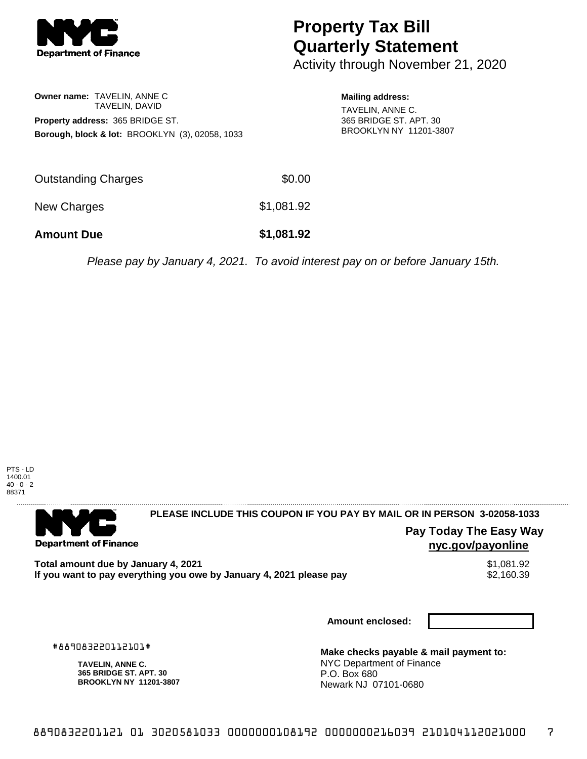

# **Property Tax Bill Quarterly Statement**

Activity through November 21, 2020

**Owner name:** TAVELIN, ANNE C TAVELIN, DAVID **Property address:** 365 BRIDGE ST. **Borough, block & lot:** BROOKLYN (3), 02058, 1033 **Mailing address:**

TAVELIN, ANNE C. 365 BRIDGE ST. APT. 30 BROOKLYN NY 11201-3807

| <b>Amount Due</b>   | \$1,081.92 |
|---------------------|------------|
| New Charges         | \$1,081.92 |
| Outstanding Charges | \$0.00     |

Please pay by January 4, 2021. To avoid interest pay on or before January 15th.



. . . . . . . . . . . . . . . .

## 

**Department of Finance** 

**PLEASE INCLUDE THIS COUPON IF YOU PAY BY MAIL OR IN PERSON 3-02058-1033** 

# **Pay Today The Easy Way nyc.gov/payonline**

**Total amount due by January 4, 2021**<br>If you want to pay everything you owe by January 4, 2021 please pay **show that the set of the set of the set of** If you want to pay everything you owe by January 4, 2021 please pay

**Amount enclosed:**

#889083220112101#

**TAVELIN, ANNE C. 365 BRIDGE ST. APT. 30 BROOKLYN NY 11201-3807**

**Make checks payable & mail payment to:** NYC Department of Finance P.O. Box 680 Newark NJ 07101-0680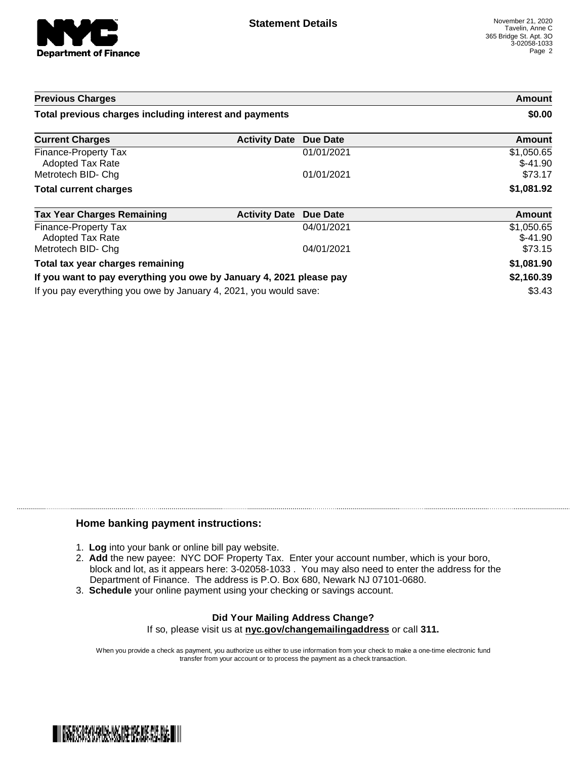

| <b>Previous Charges</b>                                             |                      |                 | Amount                  |
|---------------------------------------------------------------------|----------------------|-----------------|-------------------------|
| Total previous charges including interest and payments              |                      |                 | \$0.00                  |
| <b>Current Charges</b>                                              | <b>Activity Date</b> | <b>Due Date</b> | Amount                  |
| Finance-Property Tax<br><b>Adopted Tax Rate</b>                     |                      | 01/01/2021      | \$1,050.65<br>$$-41.90$ |
| Metrotech BID- Chg                                                  |                      | 01/01/2021      | \$73.17                 |
| <b>Total current charges</b>                                        |                      |                 | \$1,081.92              |
| <b>Tax Year Charges Remaining</b>                                   | <b>Activity Date</b> | Due Date        | Amount                  |
| Finance-Property Tax<br><b>Adopted Tax Rate</b>                     |                      | 04/01/2021      | \$1,050.65<br>$$-41.90$ |
| Metrotech BID- Chg                                                  |                      | 04/01/2021      | \$73.15                 |
| Total tax year charges remaining                                    |                      |                 | \$1,081.90              |
| If you want to pay everything you owe by January 4, 2021 please pay |                      |                 | \$2,160.39              |
| If you pay everything you owe by January 4, 2021, you would save:   |                      |                 | \$3.43                  |

### **Home banking payment instructions:**

- 1. **Log** into your bank or online bill pay website.
- 2. **Add** the new payee: NYC DOF Property Tax. Enter your account number, which is your boro, block and lot, as it appears here: 3-02058-1033 . You may also need to enter the address for the Department of Finance. The address is P.O. Box 680, Newark NJ 07101-0680.
- 3. **Schedule** your online payment using your checking or savings account.

#### **Did Your Mailing Address Change?** If so, please visit us at **nyc.gov/changemailingaddress** or call **311.**

When you provide a check as payment, you authorize us either to use information from your check to make a one-time electronic fund transfer from your account or to process the payment as a check transaction.